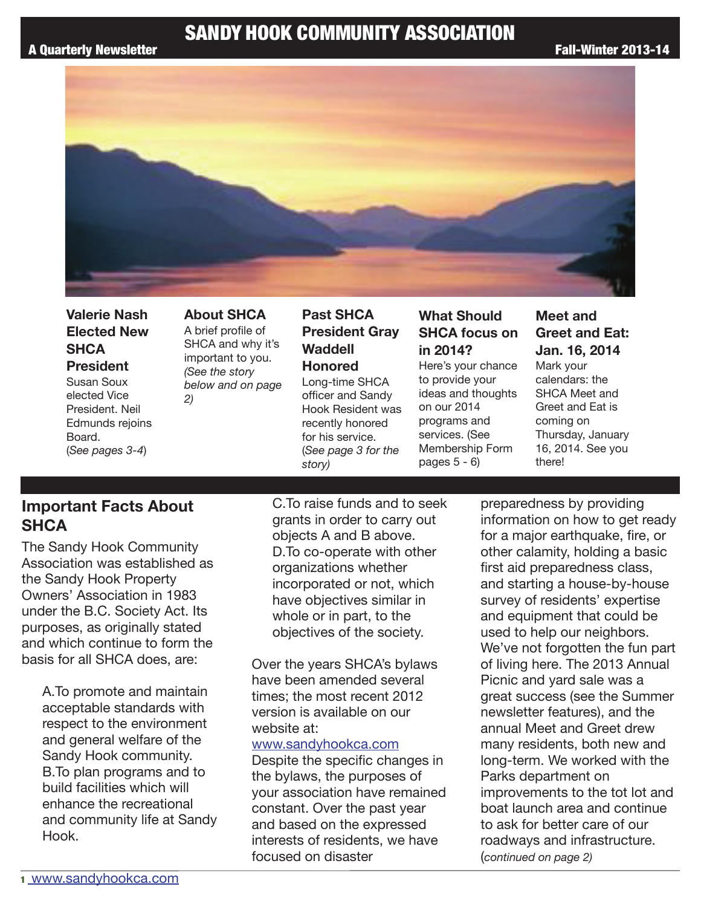

**Valerie Nash Elected New SHCA President**

Susan Soux elected Vice President. Neil Edmunds rejoins Board. (*See pages 3-4*)

**About SHCA** A brief profile of SHCA and why it's important to you. *(See the story below and on page 2)*

### **Past SHCA President Gray Waddell Honored** Long-time SHCA

officer and Sandy Hook Resident was recently honored for his service. (*See page 3 for the story)*

### **What Should SHCA focus on in 2014?**

Here's your chance to provide your ideas and thoughts on our 2014 programs and services. (See Membership Form pages 5 - 6)

### **Meet and Greet and Eat: Jan. 16, 2014**

Mark your calendars: the SHCA Meet and Greet and Eat is coming on Thursday, January 16, 2014. See you there!

# **Important Facts About SHCA**

The Sandy Hook Community Association was established as the Sandy Hook Property Owners' Association in 1983 under the B.C. Society Act. Its purposes, as originally stated and which continue to form the basis for all SHCA does, are:

> A.To promote and maintain acceptable standards with respect to the environment and general welfare of the Sandy Hook community. B.To plan programs and to build facilities which will enhance the recreational and community life at Sandy Hook.

C.To raise funds and to seek grants in order to carry out objects A and B above. D.To co-operate with other organizations whether incorporated or not, which have objectives similar in whole or in part, to the objectives of the society.

Over the years SHCA's bylaws have been amended several times; the most recent 2012 version is available on our website at:

#### www.sandyhookca.com

Despite the specific changes in the bylaws, the purposes of your association have remained constant. Over the past year and based on the expressed interests of residents, we have focused on disaster

preparedness by providing information on how to get ready for a major earthquake, fire, or other calamity, holding a basic first aid preparedness class, and starting a house-by-house survey of residents' expertise and equipment that could be used to help our neighbors. We've not forgotten the fun part of living here. The 2013 Annual Picnic and yard sale was a great success (see the Summer newsletter features), and the annual Meet and Greet drew many residents, both new and long-term. We worked with the Parks department on improvements to the tot lot and boat launch area and continue to ask for better care of our roadways and infrastructure. (*continued on page 2)*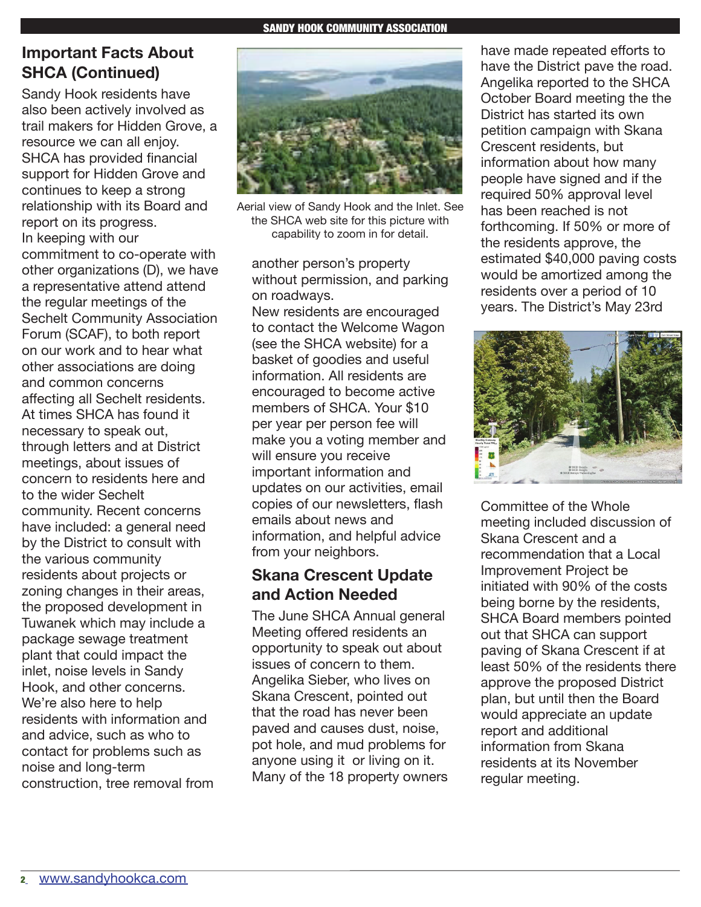# **Important Facts About SHCA (Continued)**

Sandy Hook residents have also been actively involved as trail makers for Hidden Grove, a resource we can all enjoy. SHCA has provided financial support for Hidden Grove and continues to keep a strong relationship with its Board and report on its progress. In keeping with our commitment to co-operate with other organizations (D), we have a representative attend attend the regular meetings of the Sechelt Community Association Forum (SCAF), to both report on our work and to hear what other associations are doing and common concerns affecting all Sechelt residents. At times SHCA has found it necessary to speak out, through letters and at District meetings, about issues of concern to residents here and to the wider Sechelt community. Recent concerns have included: a general need by the District to consult with the various community residents about projects or zoning changes in their areas, the proposed development in Tuwanek which may include a package sewage treatment plant that could impact the inlet, noise levels in Sandy Hook, and other concerns. We're also here to help residents with information and and advice, such as who to contact for problems such as noise and long-term construction, tree removal from



Aerial view of Sandy Hook and the Inlet. See the SHCA web site for this picture with capability to zoom in for detail.

another person's property without permission, and parking on roadways.

New residents are encouraged to contact the Welcome Wagon (see the SHCA website) for a basket of goodies and useful information. All residents are encouraged to become active members of SHCA. Your \$10 per year per person fee will make you a voting member and will ensure you receive important information and updates on our activities, email copies of our newsletters, flash emails about news and information, and helpful advice from your neighbors.

# **Skana Crescent Update and Action Needed**

The June SHCA Annual general Meeting offered residents an opportunity to speak out about issues of concern to them. Angelika Sieber, who lives on Skana Crescent, pointed out that the road has never been paved and causes dust, noise, pot hole, and mud problems for anyone using it or living on it. Many of the 18 property owners

have made repeated efforts to have the District pave the road. Angelika reported to the SHCA October Board meeting the the District has started its own petition campaign with Skana Crescent residents, but information about how many people have signed and if the required 50% approval level has been reached is not forthcoming. If 50% or more of the residents approve, the estimated \$40,000 paving costs would be amortized among the residents over a period of 10 years. The District's May 23rd



Committee of the Whole meeting included discussion of Skana Crescent and a recommendation that a Local Improvement Project be initiated with 90% of the costs being borne by the residents, SHCA Board members pointed out that SHCA can support paving of Skana Crescent if at least 50% of the residents there approve the proposed District plan, but until then the Board would appreciate an update report and additional information from Skana residents at its November regular meeting.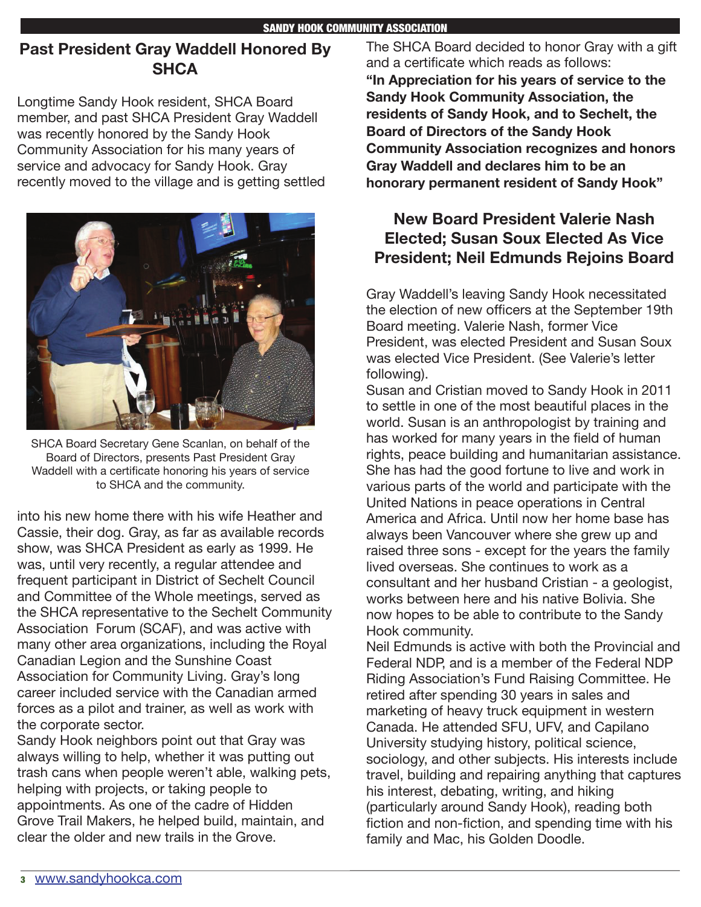## **Past President Gray Waddell Honored By SHCA**

Longtime Sandy Hook resident, SHCA Board member, and past SHCA President Gray Waddell was recently honored by the Sandy Hook Community Association for his many years of service and advocacy for Sandy Hook. Gray recently moved to the village and is getting settled



SHCA Board Secretary Gene Scanlan, on behalf of the Board of Directors, presents Past President Gray Waddell with a certificate honoring his years of service to SHCA and the community.

into his new home there with his wife Heather and Cassie, their dog. Gray, as far as available records show, was SHCA President as early as 1999. He was, until very recently, a regular attendee and frequent participant in District of Sechelt Council and Committee of the Whole meetings, served as the SHCA representative to the Sechelt Community Association Forum (SCAF), and was active with many other area organizations, including the Royal Canadian Legion and the Sunshine Coast Association for Community Living. Gray's long career included service with the Canadian armed forces as a pilot and trainer, as well as work with the corporate sector.

Sandy Hook neighbors point out that Gray was always willing to help, whether it was putting out trash cans when people weren't able, walking pets, helping with projects, or taking people to appointments. As one of the cadre of Hidden Grove Trail Makers, he helped build, maintain, and clear the older and new trails in the Grove.

The SHCA Board decided to honor Gray with a gift and a certificate which reads as follows: **"In Appreciation for his years of service to the Sandy Hook Community Association, the residents of Sandy Hook, and to Sechelt, the Board of Directors of the Sandy Hook Community Association recognizes and honors Gray Waddell and declares him to be an honorary permanent resident of Sandy Hook"**

# **New Board President Valerie Nash Elected; Susan Soux Elected As Vice President; Neil Edmunds Rejoins Board**

Gray Waddell's leaving Sandy Hook necessitated the election of new officers at the September 19th Board meeting. Valerie Nash, former Vice President, was elected President and Susan Soux was elected Vice President. (See Valerie's letter following).

Susan and Cristian moved to Sandy Hook in 2011 to settle in one of the most beautiful places in the world. Susan is an anthropologist by training and has worked for many years in the field of human rights, peace building and humanitarian assistance. She has had the good fortune to live and work in various parts of the world and participate with the United Nations in peace operations in Central America and Africa. Until now her home base has always been Vancouver where she grew up and raised three sons - except for the years the family lived overseas. She continues to work as a consultant and her husband Cristian - a geologist, works between here and his native Bolivia. She now hopes to be able to contribute to the Sandy Hook community.

Neil Edmunds is active with both the Provincial and Federal NDP, and is a member of the Federal NDP Riding Association's Fund Raising Committee. He retired after spending 30 years in sales and marketing of heavy truck equipment in western Canada. He attended SFU, UFV, and Capilano University studying history, political science, sociology, and other subjects. His interests include travel, building and repairing anything that captures his interest, debating, writing, and hiking (particularly around Sandy Hook), reading both fiction and non-fiction, and spending time with his family and Mac, his Golden Doodle.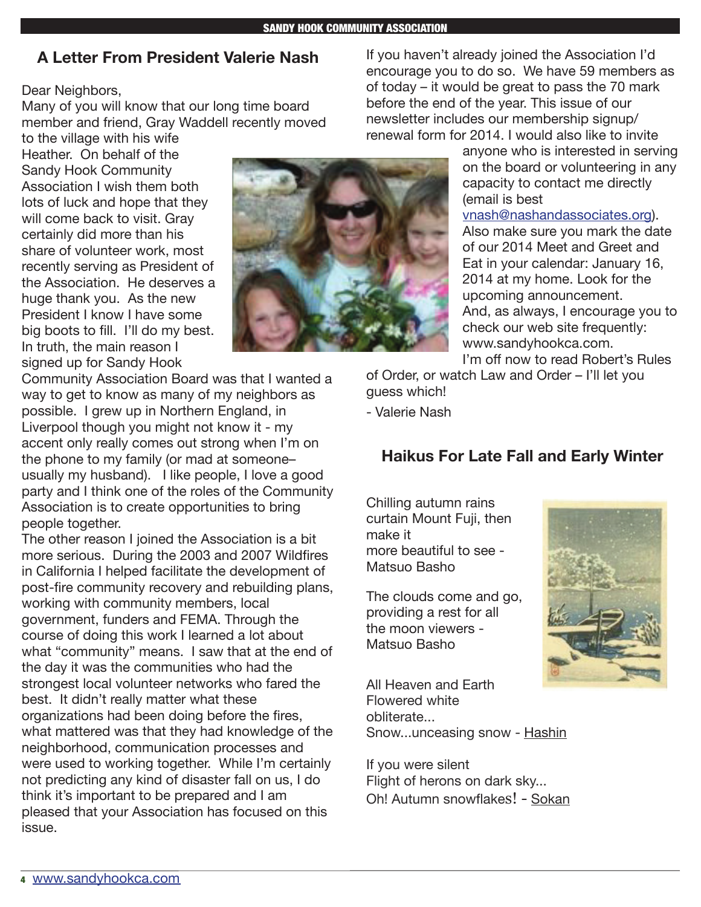### **A Letter From President Valerie Nash**

Dear Neighbors,

Many of you will know that our long time board member and friend, Gray Waddell recently moved

to the village with his wife Heather. On behalf of the Sandy Hook Community Association I wish them both lots of luck and hope that they will come back to visit. Gray certainly did more than his share of volunteer work, most recently serving as President of the Association. He deserves a huge thank you. As the new President I know I have some big boots to fill. I'll do my best. In truth, the main reason I signed up for Sandy Hook

Community Association Board was that I wanted a way to get to know as many of my neighbors as possible. I grew up in Northern England, in Liverpool though you might not know it - my accent only really comes out strong when I'm on the phone to my family (or mad at someone– usually my husband). I like people, I love a good party and I think one of the roles of the Community Association is to create opportunities to bring people together.

The other reason I joined the Association is a bit more serious. During the 2003 and 2007 Wildfires in California I helped facilitate the development of post-fire community recovery and rebuilding plans, working with community members, local government, funders and FEMA. Through the course of doing this work I learned a lot about what "community" means. I saw that at the end of the day it was the communities who had the strongest local volunteer networks who fared the best. It didn't really matter what these organizations had been doing before the fires, what mattered was that they had knowledge of the neighborhood, communication processes and were used to working together. While I'm certainly not predicting any kind of disaster fall on us, I do think it's important to be prepared and I am pleased that your Association has focused on this issue.

If you haven't already joined the Association I'd encourage you to do so. We have 59 members as of today – it would be great to pass the 70 mark before the end of the year. This issue of our newsletter includes our membership signup/ renewal form for 2014. I would also like to invite

anyone who is interested in serving on the board or volunteering in any capacity to contact me directly (email is best

vnash@nashandassociates.org). Also make sure you mark the date of our 2014 Meet and Greet and Eat in your calendar: January 16, 2014 at my home. Look for the upcoming announcement. And, as always, I encourage you to check our web site frequently: www.sandyhookca.com. I'm off now to read Robert's Rules

of Order, or watch Law and Order – I'll let you guess which!

- Valerie Nash

## **Haikus For Late Fall and Early Winter**

Chilling autumn rains curtain Mount Fuji, then make it more beautiful to see - Matsuo Basho

The clouds come and go, providing a rest for all the moon viewers - Matsuo Basho

All Heaven and Earth Flowered white obliterate... Snow...unceasing snow - Hashin

If you were silent Flight of herons on dark sky... Oh! Autumn snowflakes! - Sokan

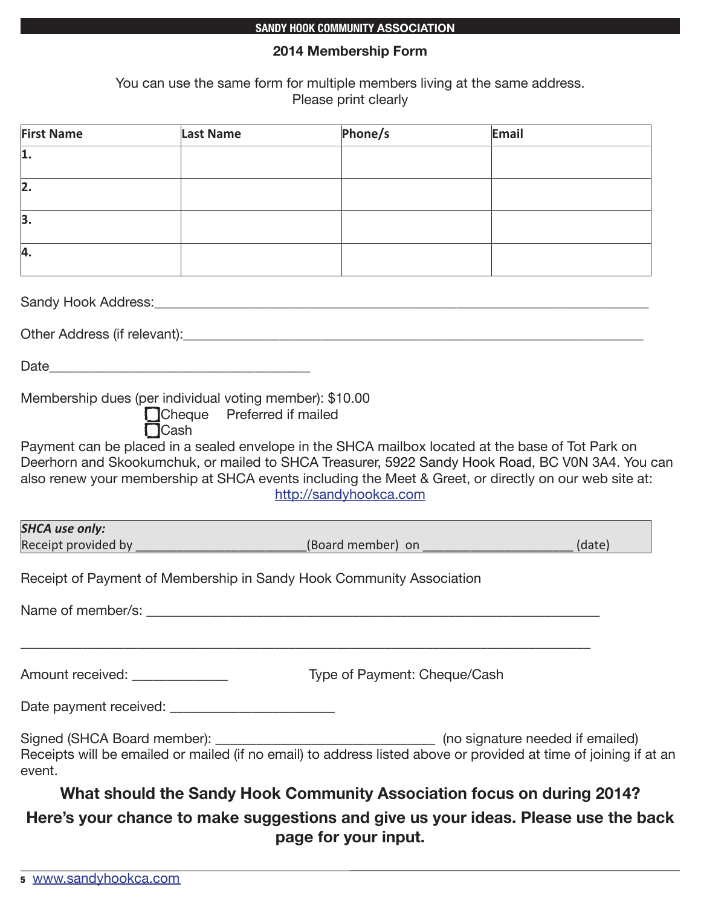#### **SANDY HOOK COMMUNITY ASSOCIATION**

### **2014 Membership Form**

You can use the same form for multiple members living at the same address. Please print clearly

| <b>First Name</b>               | Last Name                                                                                              | Phone/s                                                                                                                                                                                                                                                                                                                                  | Email |        |
|---------------------------------|--------------------------------------------------------------------------------------------------------|------------------------------------------------------------------------------------------------------------------------------------------------------------------------------------------------------------------------------------------------------------------------------------------------------------------------------------------|-------|--------|
| 1.                              |                                                                                                        |                                                                                                                                                                                                                                                                                                                                          |       |        |
| $\overline{2}$ .                |                                                                                                        |                                                                                                                                                                                                                                                                                                                                          |       |        |
| $\overline{3}$ .                |                                                                                                        |                                                                                                                                                                                                                                                                                                                                          |       |        |
| 4.                              |                                                                                                        |                                                                                                                                                                                                                                                                                                                                          |       |        |
|                                 |                                                                                                        |                                                                                                                                                                                                                                                                                                                                          |       |        |
|                                 |                                                                                                        |                                                                                                                                                                                                                                                                                                                                          |       |        |
|                                 |                                                                                                        |                                                                                                                                                                                                                                                                                                                                          |       |        |
| <b>SHCA use only:</b>           | Membership dues (per individual voting member): \$10.00<br>Cheque Preferred if mailed<br><b>N</b> Cash | Payment can be placed in a sealed envelope in the SHCA mailbox located at the base of Tot Park on<br>Deerhorn and Skookumchuk, or mailed to SHCA Treasurer, 5922 Sandy Hook Road, BC V0N 3A4. You can<br>also renew your membership at SHCA events including the Meet & Greet, or directly on our web site at:<br>http://sandyhookca.com |       |        |
|                                 |                                                                                                        | Receipt provided by ___________________________(Board member) on _______________                                                                                                                                                                                                                                                         |       | (date) |
|                                 |                                                                                                        | Receipt of Payment of Membership in Sandy Hook Community Association                                                                                                                                                                                                                                                                     |       |        |
| Amount received: ______________ |                                                                                                        | Type of Payment: Cheque/Cash                                                                                                                                                                                                                                                                                                             |       |        |
|                                 |                                                                                                        |                                                                                                                                                                                                                                                                                                                                          |       |        |
| event.                          |                                                                                                        | Signed (SHCA Board member): ___________________________________ (no signature needed if emailed)<br>Receipts will be emailed or mailed (if no email) to address listed above or provided at time of joining if at an                                                                                                                     |       |        |
|                                 |                                                                                                        | What should the Sandy Hook Community Association focus on during 2014?                                                                                                                                                                                                                                                                   |       |        |
|                                 |                                                                                                        | Here's your chance to make suggestions and give us your ideas. Please use the back<br>page for your input.                                                                                                                                                                                                                               |       |        |